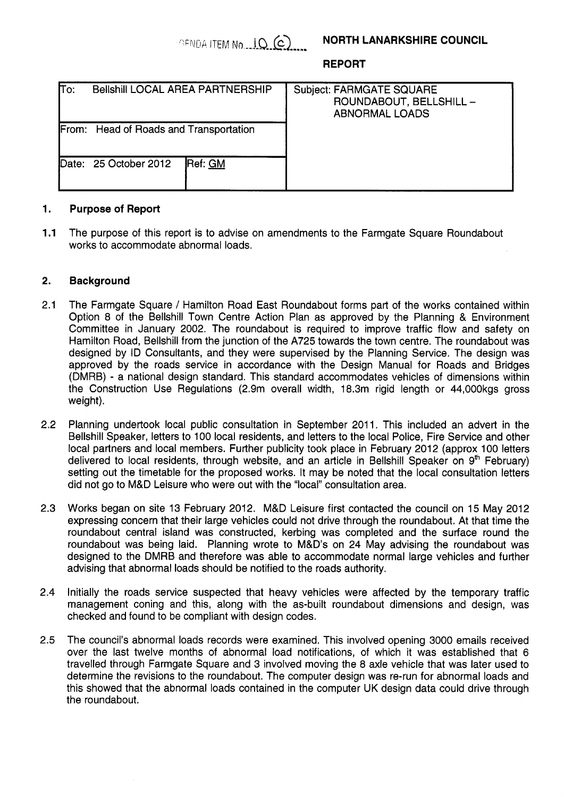# **NORTH LANARKSHIRE COUNCIL**

**REPORT** 

| lΤo:                                   | <b>Bellshill LOCAL AREA PARTNERSHIP</b> |         | <b>Subject: FARMGATE SQUARE</b><br>ROUNDABOUT, BELLSHILL -<br><b>ABNORMAL LOADS</b> |
|----------------------------------------|-----------------------------------------|---------|-------------------------------------------------------------------------------------|
| From: Head of Roads and Transportation |                                         |         |                                                                                     |
|                                        | Date: 25 October 2012                   | Ref: GM |                                                                                     |

### **1. Purpose of Report**

**1.1**  The purpose of this report is to advise on amendments to the Farmgate Square Roundabout works to accommodate abnormal loads.

### **2. Background**

- 2.1 The Farmgate Square / Hamilton Road East Roundabout forms part of the works contained within Option 8 of the Bellshill Town Centre Action Plan as approved by the Planning & Environment Committee in January 2002. The roundabout is required to improve traffic flow and safety on Hamilton Road, Bellshill from the junction of the A725 towards the town centre. The roundabout was designed by ID Consultants, and they were supervised by the Planning Service. The design was approved by the roads service in accordance with the Design Manual for Roads and Bridges (DMRB) - a national design standard. This standard accommodates vehicles of dimensions within the Construction Use Regulations (2.9m overall width, 18.3m rigid length or 44,000kgs gross weight).
- 2.2 Planning undertook local public consultation in September 2011. This included an advert in the Bellshill Speaker, letters to 100 local residents, and letters to the local Police, Fire Service and other local partners and local members. Further publicity took place in February 2012 (approx 100 letters delivered to local residents, through website, and an article in Bellshill Speaker on  $9<sup>th</sup>$  February) setting out the timetable for the proposed works. It may be noted that the local consultation letters did not go to M&D Leisure who were out with the "local" consultation area.
- 2.3 Works began on site 13 February 2012. M&D Leisure first contacted the council on 15 May 2012 expressing concern that their large vehicles could not drive through the roundabout. At that time the roundabout central island was constructed, kerbing was completed and the surface round the roundabout was being laid. Planning wrote to M&D's on 24 May advising the roundabout was designed to the DMRB and therefore was able to accommodate normal large vehicles and further advising that abnormal loads should be notified to the roads authority.
- 2.4 Initially the roads service suspected that heavy vehicles were affected by the temporary traffic management coning and this, along with the as-built roundabout dimensions and design, was checked and found to be compliant with design codes.
- 2.5 The council's abnormal loads records were examined. This involved opening 3000 emails received over the last twelve months of abnormal load notifications, of which it was established that 6 travelled through Farmgate Square and 3 involved moving the 8 axle vehicle that was later used to determine the revisions to the roundabout. The computer design was re-run for abnormal loads and this showed that the abnormal loads contained in the computer UK design data could drive through the roundabout.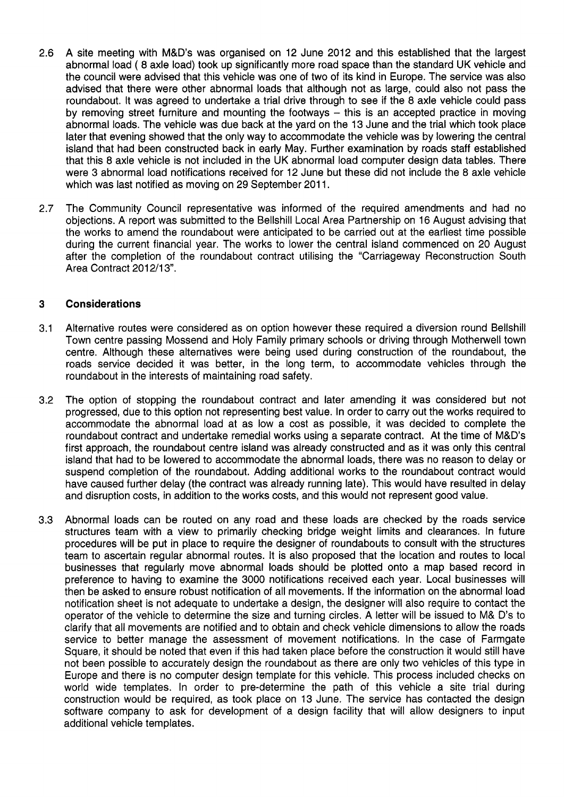- 2.6 A site meeting with M&D's was organised on 12 June 2012 and this established that the largest abnormal load ( 8 axle load) took up significantly more road space than the standard UK vehicle and the council were advised that this vehicle was one of two of its kind in Europe. The service was also advised that there were other abnormal loads that although not as large, could also not pass the roundabout. It was agreed to undertake a trial drive through to see if the 8 axle vehicle could pass by removing street furniture and mounting the footways  $-$  this is an accepted practice in moving abnormal loads. The vehicle was due back at the yard on the 13 June and the trial which took place later that evening showed that the only way to accommodate the vehicle was by lowering the central island that had been constructed back in early May. Further examination by roads staff established that this 8 axle vehicle is not included in the UK abnormal load computer design data tables. There were 3 abnormal load notifications received for 12 June but these did not include the 8 axle vehicle which was last notified as moving on 29 September 2011.
- 2.7 The Community Council representative was informed of the required amendments and had no objections. A report was submitted to the Bellshill Local Area Partnership on 16 August advising that the works to amend the roundabout were anticipated to be carried out at the earliest time possible during the current financial year. The works to lower the central island commenced on 20 August after the completion of the roundabout contract utilising the "Carriageway Reconstruction South Area Contract 2012/13".

# **3 Considerations**

- 3.1 Alternative routes were considered as on option however these required a diversion round Bellshill Town centre passing Mossend and Holy Family primary schools or driving through Motherwell town centre. Although these alternatives were being used during construction of the roundabout, the roads service decided it was better, in the long term, to accommodate vehicles through the roundabout in the interests of maintaining road safety.
- 3.2 The option of stopping the roundabout contract and later amending it was considered but not progressed, due to this option not representing best value. In order to carry out the works required to accommodate the abnormal load at as low a cost as possible, it was decided to complete the roundabout contract and undertake remedial works using a separate contract. At the time of M&D's first approach, the roundabout centre island was already constructed and as it was only this central island that had to be lowered to accommodate the abnormal loads, there was no reason to delay or suspend completion of the roundabout. Adding additional works to the roundabout contract would have caused further delay (the contract was already running late). This would have resulted in delay and disruption costs, in addition to the works costs, and this would not represent good value.
- 3.3 Abnormal loads can be routed on any road and these loads are checked by the roads service structures team with a view to primarily checking bridge weight limits and clearances. In future procedures will be put in place to require the designer of roundabouts to consult with the structures team to ascertain regular abnormal routes. It is also proposed that the location and routes to local businesses that regularly move abnormal loads should be plotted onto a map based record in preference to having to examine the 3000 notifications received each year. Local businesses will then be asked to ensure robust notification of all movements. If the information on the abnormal load notification sheet is not adequate to undertake a design, the designer will also require to contact the operator of the vehicle to determine the size and turning circles. A letter will be issued to M& D's to clarify that all movements are notified and to obtain and check vehicle dimensions to allow the roads service to better manage the assessment of movement notifications. In the case of Farmgate Square, it should be noted that even if this had taken place before the construction it would still have not been possible to accurately design the roundabout as there are only two vehicles of this type in Europe and there is no computer design template for this vehicle. This process included checks on world wide templates. In order to pre-determine the path of this vehicle a site trial during construction would be required, as took place on 13 June. The service has contacted the design software company to ask for development of a design facility that will allow designers to input additional vehicle templates.